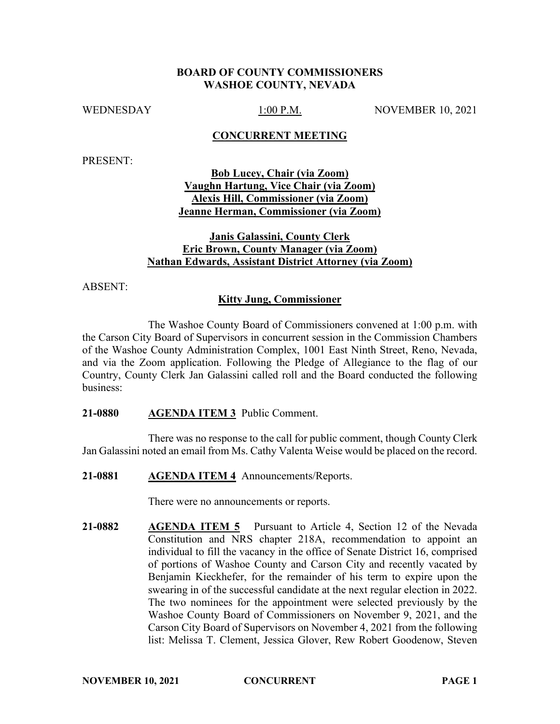### **BOARD OF COUNTY COMMISSIONERS WASHOE COUNTY, NEVADA**

WEDNESDAY 1:00 P.M. NOVEMBER 10, 2021

### **CONCURRENT MEETING**

PRESENT:

**Bob Lucey, Chair (via Zoom) Vaughn Hartung, Vice Chair (via Zoom) Alexis Hill, Commissioner (via Zoom) Jeanne Herman, Commissioner (via Zoom)**

# **Janis Galassini, County Clerk Eric Brown, County Manager (via Zoom) Nathan Edwards, Assistant District Attorney (via Zoom)**

ABSENT:

### **Kitty Jung, Commissioner**

The Washoe County Board of Commissioners convened at 1:00 p.m. with the Carson City Board of Supervisors in concurrent session in the Commission Chambers of the Washoe County Administration Complex, 1001 East Ninth Street, Reno, Nevada, and via the Zoom application. Following the Pledge of Allegiance to the flag of our Country, County Clerk Jan Galassini called roll and the Board conducted the following business:

#### **21-0880 AGENDA ITEM 3** Public Comment.

There was no response to the call for public comment, though County Clerk Jan Galassini noted an email from Ms. Cathy Valenta Weise would be placed on the record.

**21-0881 AGENDA ITEM 4** Announcements/Reports.

There were no announcements or reports.

**21-0882 AGENDA ITEM 5** Pursuant to Article 4, Section 12 of the Nevada Constitution and NRS chapter 218A, recommendation to appoint an individual to fill the vacancy in the office of Senate District 16, comprised of portions of Washoe County and Carson City and recently vacated by Benjamin Kieckhefer, for the remainder of his term to expire upon the swearing in of the successful candidate at the next regular election in 2022. The two nominees for the appointment were selected previously by the Washoe County Board of Commissioners on November 9, 2021, and the Carson City Board of Supervisors on November 4, 2021 from the following list: Melissa T. Clement, Jessica Glover, Rew Robert Goodenow, Steven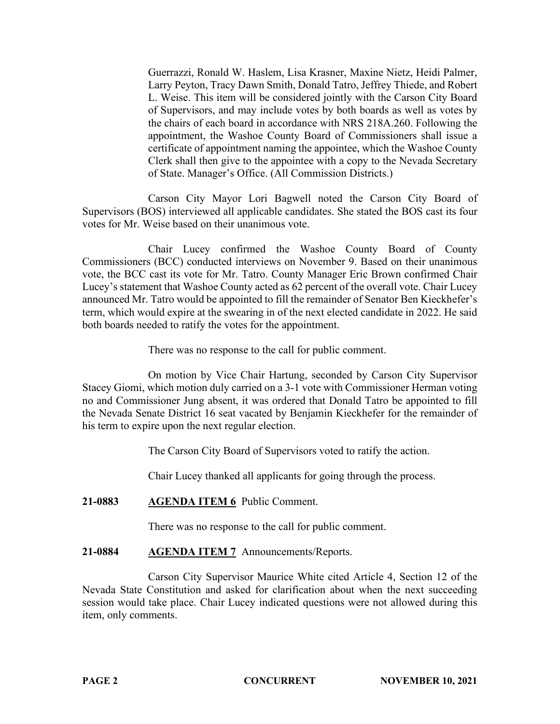Guerrazzi, Ronald W. Haslem, Lisa Krasner, Maxine Nietz, Heidi Palmer, Larry Peyton, Tracy Dawn Smith, Donald Tatro, Jeffrey Thiede, and Robert L. Weise. This item will be considered jointly with the Carson City Board of Supervisors, and may include votes by both boards as well as votes by the chairs of each board in accordance with NRS 218A.260. Following the appointment, the Washoe County Board of Commissioners shall issue a certificate of appointment naming the appointee, which the Washoe County Clerk shall then give to the appointee with a copy to the Nevada Secretary of State. Manager's Office. (All Commission Districts.)

Carson City Mayor Lori Bagwell noted the Carson City Board of Supervisors (BOS) interviewed all applicable candidates. She stated the BOS cast its four votes for Mr. Weise based on their unanimous vote.

Chair Lucey confirmed the Washoe County Board of County Commissioners (BCC) conducted interviews on November 9. Based on their unanimous vote, the BCC cast its vote for Mr. Tatro. County Manager Eric Brown confirmed Chair Lucey's statement that Washoe County acted as 62 percent of the overall vote. Chair Lucey announced Mr. Tatro would be appointed to fill the remainder of Senator Ben Kieckhefer's term, which would expire at the swearing in of the next elected candidate in 2022. He said both boards needed to ratify the votes for the appointment.

There was no response to the call for public comment.

On motion by Vice Chair Hartung, seconded by Carson City Supervisor Stacey Giomi, which motion duly carried on a 3-1 vote with Commissioner Herman voting no and Commissioner Jung absent, it was ordered that Donald Tatro be appointed to fill the Nevada Senate District 16 seat vacated by Benjamin Kieckhefer for the remainder of his term to expire upon the next regular election.

The Carson City Board of Supervisors voted to ratify the action.

Chair Lucey thanked all applicants for going through the process.

# **21-0883 AGENDA ITEM 6** Public Comment.

There was no response to the call for public comment.

# **21-0884 AGENDA ITEM 7** Announcements/Reports.

Carson City Supervisor Maurice White cited Article 4, Section 12 of the Nevada State Constitution and asked for clarification about when the next succeeding session would take place. Chair Lucey indicated questions were not allowed during this item, only comments.